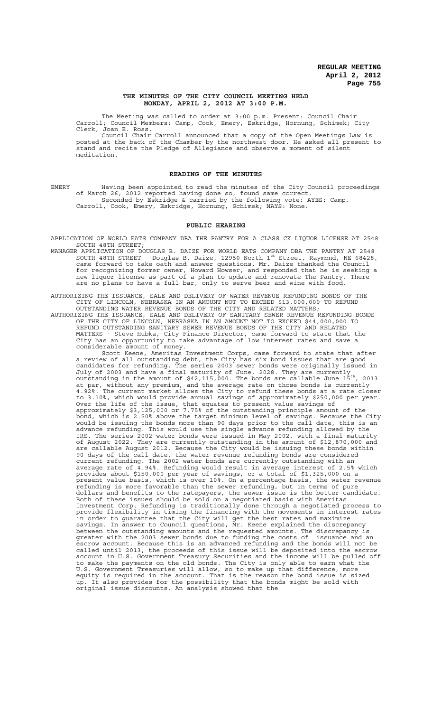#### **THE MINUTES OF THE CITY COUNCIL MEETING HELD MONDAY, APRIL 2, 2012 AT 3:00 P.M.**

The Meeting was called to order at 3:00 p.m. Present: Council Chair Carroll; Council Members: Camp, Cook, Emery, Eskridge, Hornung, Schimek; City Clerk, Joan E. Ross.

Council Chair Carroll announced that a copy of the Open Meetings Law is posted at the back of the Chamber by the northwest door. He asked all present to stand and recite the Pledge of Allegiance and observe a moment of silent meditation.

#### **READING OF THE MINUTES**

EMERY Having been appointed to read the minutes of the City Council proceedings of March 26, 2012 reported having done so, found same correct. Seconded by Eskridge & carried by the following vote: AYES: Camp, Carroll, Cook, Emery, Eskridge, Hornung, Schimek; NAYS: None.

#### **PUBLIC HEARING**

APPLICATION OF WORLD EATS COMPANY DBA THE PANTRY FOR A CLASS CK LIQUOR LICENSE AT 2548 SOUTH 48TH STREET;

MANAGER APPLICATION OF DOUGLAS B. DAIZE FOR WORLD EATS COMPANY DBA THE PANTRY AT 2548 SOUTH 48TH STREET - Douglas B. Daize, 12950 North  $1^{st}$  Street, Raymond, NE 68428, came forward to take oath and answer questions. Mr. Daize thanked the Council for recognizing former owner, Howard Howser, and responded that he is seeking a new liquor license as part of a plan to update and renovate The Pantry. There are no plans to have a full bar, only to serve beer and wine with food.

AUTHORIZING THE ISSUANCE, SALE AND DELIVERY OF WATER REVENUE REFUNDING BONDS OF THE CITY OF LINCOLN, NEBRASKA IN AN AMOUNT NOT TO EXCEED \$13,000,000 TO REFUND OUTSTANDING WATER REVENUE BONDS OF THE CITY AND RELATED MATTERS;

AUTHORIZING THE ISSUANCE, SALE AND DELIVERY OF SANITARY SEWER REVENUE REFUNDING BONDS OF THE CITY OF LINCOLN, NEBRASKA IN AN AMOUNT NOT TO EXCEED \$44,000,000 TO REFUND OUTSTANDING SANITARY SEWER REVENUE BONDS OF THE CITY AND RELATED MATTERS - Steve Hubka, City Finance Director, came forward to state that the City has an opportunity to take advantage of low interest rates and save a considerable amount of money.

Scott Keene, Ameritas Investment Corps, came forward to state that after a review of all outstanding debt, the City has six bond issues that are good candidates for refunding. The series 2003 sewer bonds were originally issued in July of 2003 and have a final maturity of June, 2028. They are currently outstanding in the amount of \$42,115,000. The bonds are callable June 15th, 2013 at par, without any premium, and the average rate on those bonds is currently 4.92%. The current market allows the City to refund these bonds at a rate closer to 3.10%, which would provide annual savings of approximately \$250,000 per year. Over the life of the issue, that equates to present value savings of approximately \$3,125,000 or 7.75% of the outstanding principle amount of the bond, which is 2.50% above the target minimum level of savings. Because the City would be issuing the bonds more than 90 days prior to the call date, this is an advance refunding. This would use the single advance refunding allowed by the IRS. The series 2002 water bonds were issued in May 2002, with a final maturity of August 2022. They are currently outstanding in the amount of \$12,870,000 and are callable August 2012. Because the City would be issuing these bonds within 90 days of the call date, the water revenue refunding bonds are considered current refunding. The 2002 water bonds are currently outstanding with an average rate of 4.94%. Refunding would result in average interest of 2.5% which provides about \$150,000 per year of savings, or a total of \$1,325,000 on a present value basis, which is over 10%. On a percentage basis, the water revenue refunding is more favorable than the sewer refunding, but in terms of pure dollars and benefits to the ratepayers, the sewer issue is the better candidate. Both of these issues should be sold on a negotiated basis with Ameritas Investment Corp. Refunding is traditionally done through a negotiated process to provide flexibility in timing the financing with the movements in interest rates in order to guarantee that the City will get the best rates and maximize savings. In answer to Council questions, Mr. Keene explained the discrepancy between the outstanding amounts and the requested amounts. The discrepancy is greater with the 2003 sewer bonds due to funding the costs of issuance and an escrow account. Because this is an advanced refunding and the bonds will not be called until 2013, the proceeds of this issue will be deposited into the escrow account in U.S. Government Treasury Securities and the income will be pulled off to make the payments on the old bonds. The City is only able to earn what the U.S. Government Treasuries will allow, so to make up that difference, more equity is required in the account. That is the reason the bond issue is sized up. It also provides for the possibility that the bonds might be sold with original issue discounts. An analysis showed that the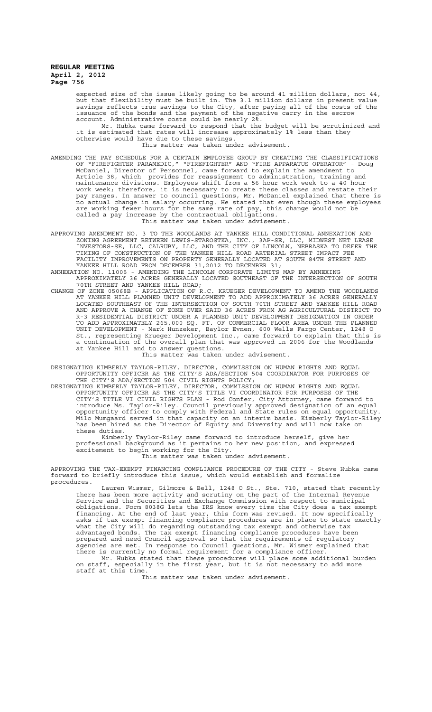expected size of the issue likely going to be around 41 million dollars, not 44, but that flexibility must be built in. The 3.1 million dollars in present value savings reflects true savings to the City, after paying all of the costs of the issuance of the bonds and the payment of the negative carry in the escrow account. Administrative costs could be nearly 2%.

Mr. Hubka came forward to respond that the budget will be scrutinized and it is estimated that rates will increase approximately 1% less than they otherwise would have due to these savings.

This matter was taken under advisement.

- AMENDING THE PAY SCHEDULE FOR A CERTAIN EMPLOYEE GROUP BY CREATING THE CLASSIFICATIONS<br>OF "FIREFIGHTER PARAMEDIC." "FIREFIGHTER" AND "FIRE APPARATUS OPERATOR" Doug OF "FIREFIGHTER PARAMEDIC," "FIREFIGHTER" AND "FIRE APPARATUS OPERATOR" McDaniel, Director of Personnel, came forward to explain the amendment to Article 38, which provides for reassignment to administration, training and maintenance divisions. Employees shift from a 56 hour work week to a 40 hour work week; therefore, it is necessary to create these classes and restate their pay ranges. In answer to council questions, Mr. McDaniel explained that there is no actual change in salary occurring. He stated that even though these employees are working fewer hours for the same rate of pay, this change would not be called a pay increase by the contractual obligations. This matter was taken under advisement.
- APPROVING AMENDMENT NO. 3 TO THE WOODLANDS AT YANKEE HILL CONDITIONAL ANNEXATION AND ZONING AGREEMENT BETWEEN LEWIS-STAROSTKA, INC., 3AP-SE, LLC, MIDWEST NET LEASE INVESTORS-SE, LLC, CALRUBY, LLC, AND THE CITY OF LINCOLN, NEBRASKA TO DEFER THE TIMING OF CONSTRUCTION OF THE YANKEE HILL ROAD ARTERIAL STREET IMPACT FEE FACILITY IMPROVEMENTS ON PROPERTY GENERALLY LOCATED AT SOUTH 84TH STREET AND YANKEE HILL ROAD FROM DECEMBER 31,2012 TO DECEMBER 31;
- ANNEXATION NO. 11005 AMENDING THE LINCOLN CORPORATE LIMITS MAP BY ANNEXING APPROXIMATELY 36 ACRES GENERALLY LOCATED SOUTHEAST OF THE INTERSECTION OF SOUTH 70TH STREET AND YANKEE HILL ROAD;
- CHANGE OF ZONE 05068B APPLICATION OF R.C. KRUEGER DEVELOPMENT TO AMEND THE WOODLANDS AT YANKEE HILL PLANNED UNIT DEVELOPMENT TO ADD APPROXIMATELY 36 ACRES GENERALLY LOCATED SOUTHEAST OF THE INTERSECTION OF SOUTH 70TH STREET AND YANKEE HILL ROAD AND APPROVE A CHANGE OF ZONE OVER SAID 36 ACRES FROM AG AGRICULTURAL DISTRICT TO R-3 RESIDENTIAL DISTRICT UNDER A PLANNED UNIT DEVELOPMENT DESIGNATION IN ORDER TO ADD APPROXIMATELY 265,000 SQ. FT. OF COMMERCIAL FLOOR AREA UNDER THE PLANNED UNIT DEVELOPMENT - Mark Hunzeker, Baylor Evnen, 600 Wells Fargo Center, 1248 O St., representing Krueger Development Inc., came forward to explain that this is a continuation of the overall plan that was approved in 2006 for the Woodlands at Yankee Hill and to answer questions. This matter was taken under advisement.

DESIGNATING KIMBERLY TAYLOR-RILEY, DIRECTOR, COMMISSION ON HUMAN RIGHTS AND EQUAL OPPORTUNITY OFFICER AS THE CITY'S ADA/SECTION 504 COORDINATOR FOR PURPOSES OF THE CITY'S ADA/SECTION 504 CIVIL RIGHTS POLICY;

DESIGNATING KIMBERLY TAYLOR-RILEY, DIRECTOR, COMMISSION ON HUMAN RIGHTS AND EQUAL OPPORTUNITY OFFICER AS THE CITY'S TITLE VI COORDINATOR FOR PURPOSES OF THE CITY'S TITLE VI CIVIL RIGHTS PLAN - Rod Confer, City Attorney, came forward to introduce Ms. Taylor-Riley. Council previously approved designation of an equal opportunity officer to comply with Federal and State rules on equal opportunity. Milo Mumgaard served in that capacity on an interim basis. Kimberly Taylor-Riley has been hired as the Director of Equity and Diversity and will now take on these duties.

Kimberly Taylor-Riley came forward to introduce herself, give her professional background as it pertains to her new position, and expressed excitement to begin working for the City. This matter was taken under advisement.

APPROVING THE TAX-EXEMPT FINANCING COMPLIANCE PROCEDURE OF THE CITY - Steve Hubka came forward to briefly introduce this issue, which would establish and formalize procedures.

Lauren Wismer, Gilmore & Bell, 1248 O St., Ste. 710, stated that recently there has been more activity and scrutiny on the part of the Internal Revenue Service and the Securities and Exchange Commission with respect to municipal obligations. Form 8038G lets the IRS know every time the City does a tax exempt financing. At the end of last year, this form was revised. It now specifically asks if tax exempt financing compliance procedures are in place to state exactly what the City will do regarding outstanding tax exempt and otherwise tax advantaged bonds. The tax exempt financing compliance procedures have been prepared and need Council approval so that the requirements of regulatory agencies are met. In response to Council questions, Mr. Wismer explained that there is currently no formal requirement for a compliance officer.

Mr. Hubka stated that these procedures will place some additional burden on staff, especially in the first year, but it is not necessary to add more staff at this time.

This matter was taken under advisement.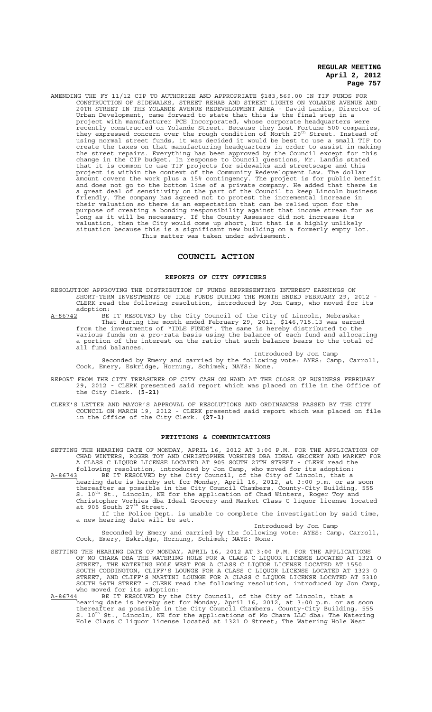AMENDING THE FY 11/12 CIP TO AUTHORIZE AND APPROPRIATE \$183,569.00 IN TIF FUNDS FOR CONSTRUCTION OF SIDEWALKS, STREET REHAB AND STREET LIGHTS ON YOLANDE AVENUE AND 20TH STREET IN THE YOLANDE AVENUE REDEVELOPMENT AREA - David Landis, Director of Urban Development, came forward to state that this is the final step in a project with manufacturer PCE Incorporated, whose corporate headquarters were recently constructed on Yolande Street. Because they host Fortune 500 companies,<br>they expressed concern over the rough condition of North 20<sup>th</sup> Street. Instead of using normal street funds, it was decided it would be best to use a small TIF to create the taxes on that manufacturing headquarters in order to assist in making the street repairs. Everything has been approved by the Council except for this change in the CIP budget. In response to Council questions, Mr. Landis stated that it is common to use TIF projects for sidewalks and streetscape and this project is within the context of the Community Redevelopment Law. The dollar amount covers the work plus a 15% contingency. The project is for public benefit and does not go to the bottom line of a private company. He added that there is a great deal of sensitivity on the part of the Council to keep Lincoln business friendly. The company has agreed not to protest the incremental increase in their valuation so there is an expectation that can be relied upon for the purpose of creating a bonding responsibility against that income stream for as long as it will be necessary. If the County Assessor did not increase its valuation, then the City would come up short, but that is a highly unlikely situation because this is a significant new building on a formerly empty lot. This matter was taken under advisement.

## **COUNCIL ACTION**

#### **REPORTS OF CITY OFFICERS**

RESOLUTION APPROVING THE DISTRIBUTION OF FUNDS REPRESENTING INTEREST EARNINGS ON SHORT-TERM INVESTMENTS OF IDLE FUNDS DURING THE MONTH ENDED FEBRUARY 29, 2012 - CLERK read the following resolution, introduced by Jon Camp, who moved for its

adoption:<br>A-86742 BE A-86742 BE IT RESOLVED by the City Council of the City of Lincoln, Nebraska: That during the month ended February 29, 2012, \$146,715.13 was earned from the investments of "IDLE FUNDS". The same is hereby distributed to the various funds on a pro-rata basis using the balance of each fund and allocating a portion of the interest on the ratio that such balance bears to the total of all fund balances.

Introduced by Jon Camp Seconded by Emery and carried by the following vote: AYES: Camp, Carroll, Cook, Emery, Eskridge, Hornung, Schimek; NAYS: None.

- REPORT FROM THE CITY TREASURER OF CITY CASH ON HAND AT THE CLOSE OF BUSINESS FEBRUARY 29, 2012 - CLERK presented said report which was placed on file in the Office of the City Clerk. **(5-21)**
- CLERK'S LETTER AND MAYOR'S APPROVAL OF RESOLUTIONS AND ORDINANCES PASSED BY THE CITY COUNCIL ON MARCH 19, 2012 - CLERK presented said report which was placed on file in the Office of the City Clerk. **(27-1)**

## **PETITIONS & COMMUNICATIONS**

SETTING THE HEARING DATE OF MONDAY, APRIL 16, 2012 AT 3:00 P.M. FOR THE APPLICATION OF CHAD WINTERS, ROGER TOY AND CHRISTOPHER VORHIES DBA IDEAL GROCERY AND MARKET FOR A CLASS C LIQUOR LICENSE LOCATED AT 905 SOUTH 27TH STREET - CLERK read the following resolution, introduced by Jon Camp, who moved for its adoption: A-86743 BE IT RESOLVED by the City Council, of the City of Lincoln, that a hearing date is hereby set for Monday, April 16, 2012, at 3:00 p.m. or as soon

thereafter as possible in the City Council Chambers, County-City Building, 555<br>S. 10<sup>th</sup> St., Lincoln, NE for the application of Chad Winters, Roger Toy and Christopher Vorhies dba Ideal Grocery and Market Class C liquor license located<br>at 905 South 27<sup>th</sup> Street.

If the Police Dept. is unable to complete the investigation by said time, a new hearing date will be set.

Introduced by Jon Camp

Seconded by Emery and carried by the following vote: AYES: Camp, Carroll, Cook, Emery, Eskridge, Hornung, Schimek; NAYS: None.

- SETTING THE HEARING DATE OF MONDAY, APRIL 16, 2012 AT 3:00 P.M. FOR THE APPLICATIONS OF MO CHARA DBA THE WATERING HOLE FOR A CLASS C LIQUOR LICENSE LOCATED AT 1321 O STREET, THE WATERING HOLE WEST FOR A CLASS C LIQUOR LICENSE LOCATED AT 1550 SOUTH CODDINGTON, CLIFF'S LOUNGE FOR A CLASS C LIQUOR LICENSE LOCATED AT 1323 O STREET, AND CLIFF'S MARTINI LOUNGE FOR A CLASS C LIQUOR LICENSE LOCATED AT 5310 SOUTH 56TH STREET - CLERK read the following resolution, introduced by Jon Camp, who moved for its adoption:
- A-86744 BE IT RESOLVED by the City Council, of the City of Lincoln, that a hearing date is hereby set for Monday, April 16, 2012, at 3:00 p.m. or as soon thereafter as possible in the City Council Chambers, County-City Building, 555<br>S. 10<sup>th</sup> St., Lincoln, NE for the applications of Mo Chara LLC dba: The Watering Hole Class C liquor license located at 1321 O Street; The Watering Hole West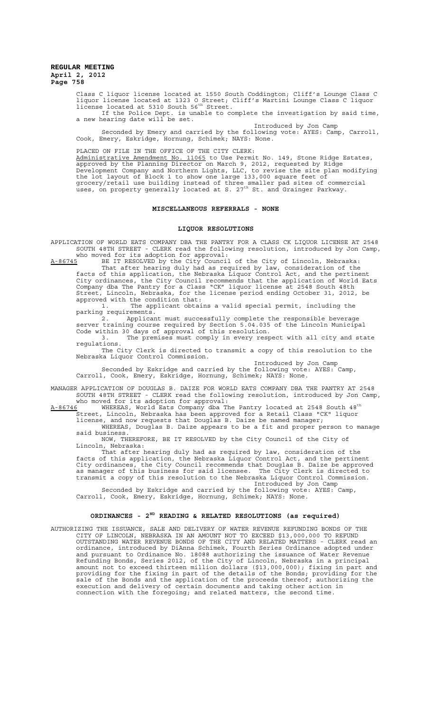Class C liquor license located at 1550 South Coddington; Cliff's Lounge Class C liquor license located at 1323 O Street; Cliff's Martini Lounge Class C liquor<br>license located at 5310 South 56<sup>th</sup> Street.

If the Police Dept. is unable to complete the investigation by said time, a new hearing date will be set.

Introduced by Jon Camp Seconded by Emery and carried by the following vote: AYES: Camp, Carroll, Cook, Emery, Eskridge, Hornung, Schimek; NAYS: None.

#### PLACED ON FILE IN THE OFFICE OF THE CITY CLERK:

Administrative Amendment No. 11065 to Use Permit No. 149, Stone Ridge Estates, approved by the Planning Director on March 9, 2012, requested by Ridge Development Company and Northern Lights, LLC, to revise the site plan modifying the lot layout of Block 1 to show one large 133,000 square feet of grocery/retail use building instead of three smaller pad sites of commercial<br>uses, on property generally located at S. 27<sup>th</sup> St. and Grainger Parkway.

## **MISCELLANEOUS REFERRALS - NONE**

#### **LIQUOR RESOLUTIONS**

APPLICATION OF WORLD EATS COMPANY DBA THE PANTRY FOR A CLASS CK LIQUOR LICENSE AT 2548 SOUTH 48TH STREET - CLERK read the following resolution, introduced by Jon Camp, who moved for its adoption for approval:<br>A-86745 BE IT RESOLVED by the City Counci

A-86745 BE IT RESOLVED by the City Council of the City of Lincoln, Nebraska: That after hearing duly had as required by law, consideration of the facts of this application, the Nebraska Liquor Control Act, and the pertinent City ordinances, the City Council recommends that the application of World Eats Company dba The Pantry for a Class "CK" liquor license at 2548 South 48th Street, Lincoln, Nebraska, for the license period ending October 31, 2012, be approved with the condition that:

1. The applicant obtains a valid special permit, including the parking requirements.

2. Applicant must successfully complete the responsible beverage server training course required by Section 5.04.035 of the Lincoln Municipal Code within 30 days of approval of this resolution.

3. The premises must comply in every respect with all city and state regulations.

The City Clerk is directed to transmit a copy of this resolution to the Nebraska Liquor Control Commission.

Introduced by Jon Camp

Seconded by Eskridge and carried by the following vote: AYES: Camp, Carroll, Cook, Emery, Eskridge, Hornung, Schimek; NAYS: None.

MANAGER APPLICATION OF DOUGLAS B. DAIZE FOR WORLD EATS COMPANY DBA THE PANTRY AT 2548 SOUTH 48TH STREET - CLERK read the following resolution, introduced by Jon Camp,

who moved for its adoption for approval:<br><u>A-86746</u> WHEREAS, World Eats Company dba The Pantry located at 2548 South 48<sup>th</sup> Street, Lincoln, Nebraska has been approved for a Retail Class "CK" liquor license, and now requests that Douglas B. Daize be named manager; WHEREAS, Douglas B. Daize appears to be a fit and proper person to manage

said business. NOW, THEREFORE, BE IT RESOLVED by the City Council of the City of Lincoln, Nebraska:

That after hearing duly had as required by law, consideration of the facts of this application, the Nebraska Liquor Control Act, and the pertinent City ordinances, the City Council recommends that Douglas B. Daize be approved as manager of this business for said licensee. The City Clerk is directed to The commends that Douglas B. Daize be approved<br>as manager of this business for said licensee. The City Clerk is directed to<br>transmit a copy of this resolution to the Nebraska Liquor Control Commission. Introduced by Jon Camp

Seconded by Eskridge and carried by the following vote: AYES: Camp, Carroll, Cook, Emery, Eskridge, Hornung, Schimek; NAYS: None.

## **ORDINANCES - 2ND READING & RELATED RESOLUTIONS (as required)**

AUTHORIZING THE ISSUANCE, SALE AND DELIVERY OF WATER REVENUE REFUNDING BONDS OF THE CITY OF LINCOLN, NEBRASKA IN AN AMOUNT NOT TO EXCEED \$13,000,000 TO REFUND OUTSTANDING WATER REVENUE BONDS OF THE CITY AND RELATED MATTERS - CLERK read an ordinance, introduced by DiAnna Schimek, Fourth Series Ordinance adopted under and pursuant to Ordinance No. 18088 authorizing the issuance of Water Revenue Refunding Bonds, Series 2012, of the City of Lincoln, Nebraska in a principal amount not to exceed thirteen million dollars (\$13,000,000); fixing in part and providing for the fixing in part of the details of the Bonds; providing for the sale of the Bonds and the application of the proceeds thereof; authorizing the execution and delivery of certain documents and taking other action in connection with the foregoing; and related matters, the second time.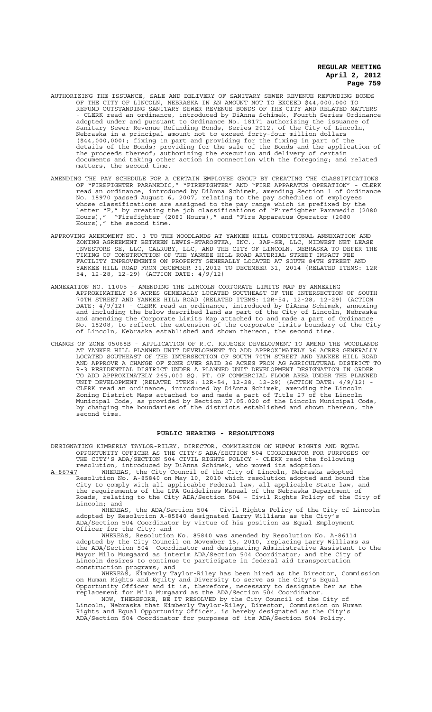- AUTHORIZING THE ISSUANCE, SALE AND DELIVERY OF SANITARY SEWER REVENUE REFUNDING BONDS OF THE CITY OF LINCOLN, NEBRASKA IN AN AMOUNT NOT TO EXCEED \$44,000,000 TO REFUND OUTSTANDING SANITARY SEWER REVENUE BONDS OF THE CITY AND RELATED MATTERS - CLERK read an ordinance, introduced by DiAnna Schimek, Fourth Series Ordinance adopted under and pursuant to Ordinance No. 18171 authorizing the issuance of Sanitary Sewer Revenue Refunding Bonds, Series 2012, of the City of Lincoln, Nebraska in a principal amount not to exceed forty-four million dollars (\$44,000,000); fixing in part and providing for the fixing in part of the details of the Bonds; providing for the sale of the Bonds and the application of the proceeds thereof; authorizing the execution and delivery of certain documents and taking other action in connection with the foregoing; and related matters, the second time.
- AMENDING THE PAY SCHEDULE FOR A CERTAIN EMPLOYEE GROUP BY CREATING THE CLASSIFICATIONS OF "FIREFIGHTER PARAMEDIC," "FIREFIGHTER" AND "FIRE APPARATUS OPERATION" - CLERK read an ordinance, introduced by DiAnna Schimek, amending Section 1 of Ordinance No. 18970 passed August 6, 2007, relating to the pay schedules of employees whose classifications are assigned to the pay range which is prefixed by the letter "F," by creating the job classifications of "Firefighter Paramedic (2080 Hours)," "Firefighter (2080 Hours)," and "Fire Apparatus Operator (2080 Hours)," the second time.
- APPROVING AMENDMENT NO. 3 TO THE WOODLANDS AT YANKEE HILL CONDITIONAL ANNEXATION AND ZONING AGREEMENT BETWEEN LEWIS-STAROSTKA, INC., 3AP-SE, LLC, MIDWEST NET LEASE INVESTORS-SE, LLC, CALRUBY, LLC, AND THE CITY OF LINCOLN, NEBRASKA TO DEFER THE TIMING OF CONSTRUCTION OF THE YANKEE HILL ROAD ARTERIAL STREET IMPACT FEE FACILITY IMPROVEMENTS ON PROPERTY GENERALLY LOCATED AT SOUTH 84TH STREET AND YANKEE HILL ROAD FROM DECEMBER 31,2012 TO DECEMBER 31, 2014 (RELATED ITEMS: 12R-54, 12-28, 12-29) (ACTION DATE: 4/9/12)
- ANNEXATION NO. 11005 AMENDING THE LINCOLN CORPORATE LIMITS MAP BY ANNEXING APPROXIMATELY 36 ACRES GENERALLY LOCATED SOUTHEAST OF THE INTERSECTION OF SOUTH 70TH STREET AND YANKEE HILL ROAD (RELATED ITEMS: 12R-54, 12-28, 12-29) (ACTION DATE: 4/9/12) - CLERK read an ordinance, introduced by DiAnna Schimek, annexing and including the below described land as part of the City of Lincoln, Nebraska and amending the Corporate Limits Map attached to and made a part of Ordinance No. 18208, to reflect the extension of the corporate limits boundary of the City of Lincoln, Nebraska established and shown thereon, the second time.
- CHANGE OF ZONE 05068B APPLICATION OF R.C. KRUEGER DEVELOPMENT TO AMEND THE WOODLANDS AT YANKEE HILL PLANNED UNIT DEVELOPMENT TO ADD APPROXIMATELY 36 ACRES GENERALLY LOCATED SOUTHEAST OF THE INTERSECTION OF SOUTH 70TH STREET AND YANKEE HILL ROAD AND APPROVE A CHANGE OF ZONE OVER SAID 36 ACRES FROM AG AGRICULTURAL DISTRICT TO R-3 RESIDENTIAL DISTRICT UNDER A PLANNED UNIT DEVELOPMENT DESIGNATION IN ORDER TO ADD APPROXIMATELY 265,000 SQ. FT. OF COMMERCIAL FLOOR AREA UNDER THE PLANNED UNIT DEVELOPMENT (RELATED ITEMS: 12R-54, 12-28, 12-29) (ACTION DATE: 4/9/12) - CLERK read an ordinance, introduced by DiAnna Schimek, amending the Lincoln Zoning District Maps attached to and made a part of Title 27 of the Lincoln Municipal Code, as provided by Section 27.05.020 of the Lincoln Municipal Code, by changing the boundaries of the districts established and shown thereon, the second time.

#### **PUBLIC HEARING - RESOLUTIONS**

DESIGNATING KIMBERLY TAYLOR-RILEY, DIRECTOR, COMMISSION ON HUMAN RIGHTS AND EQUAL OPPORTUNITY OFFICER AS THE CITY'S ADA/SECTION 504 COORDINATOR FOR PURPOSES OF THE CITY'S ADA/SECTION 504 CIVIL RIGHTS POLICY - CLERK read the following resolution, introduced by DiAnna Schimek, who moved its adoption:

A-86747 MHEREAS, the City Council of the City of Lincoln, Nebraska adopted Resolution No. A-85840 on May 10, 2010 which resolution adopted and bound the City to comply with all applicable Federal law, all applicable State law, and the requirements of the LPA Guidelines Manual of the Nebraska Department of Roads, relating to the City ADA/Section 504 – Civil Rights Policy of the City of Lincoln; and

WHEREAS, the ADA/Section 504 – Civil Rights Policy of the City of Lincoln adopted by Resolution A-85840 designated Larry Williams as the City's ADA/Section 504 Coordinator by virtue of his position as Equal Employment Officer for the City; and

WHEREAS, Resolution No. 85840 was amended by Resolution No. A-86114 adopted by the City Council on November 15, 2010, replacing Larry Williams as the ADA/Section 504 Coordinator and designating Administrative Assistant to the Mayor Milo Mumgaard as interim ADA/Section 504 Coordinator; and the City of Lincoln desires to continue to participate in federal aid transportation construction programs; and

WHEREAS, Kimberly Taylor-Riley has been hired as the Director, Commission on Human Rights and Equity and Diversity to serve as the City's Equal Opportunity Officer and it is, therefore, necessary to designate her as the replacement for Milo Mumgaard as the ADA/Section 504 Coordinator.

NOW, THEREFORE, BE IT RESOLVED by the City Council of the City of Lincoln, Nebraska that Kimberly Taylor-Riley, Director, Commission on Human Rights and Equal Opportunity Officer, is hereby designated as the City's ADA/Section 504 Coordinator for purposes of its ADA/Section 504 Policy.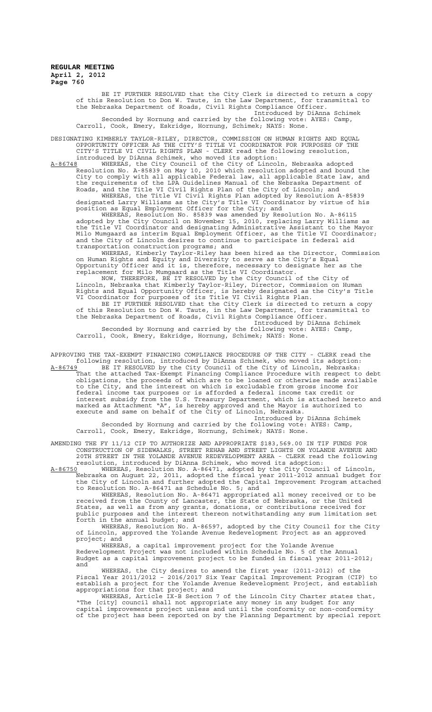BE IT FURTHER RESOLVED that the City Clerk is directed to return a copy of this Resolution to Don W. Taute, in the Law Department, for transmittal to the Nebraska Department of Roads, Civil Rights Compliance Officer. Introduced by DiAnna Schimek Seconded by Hornung and carried by the following vote: AYES: Camp,

Carroll, Cook, Emery, Eskridge, Hornung, Schimek; NAYS: None.

DESIGNATING KIMBERLY TAYLOR-RILEY, DIRECTOR, COMMISSION ON HUMAN RIGHTS AND EQUAL OPPORTUNITY OFFICER AS THE CITY'S TITLE VI COORDINATOR FOR PURPOSES OF THE CITY'S TITLE VI CIVIL RIGHTS PLAN - CLERK read the following resolution, introduced by DiAnna Schimek, who moved its adoption:

A-86748 WHEREAS, the City Council of the City of Lincoln, Nebraska adopted Resolution No. A-85839 on May 10, 2010 which resolution adopted and bound the City to comply with all applicable Federal law, all applicable State law, and the requirements of the LPA Guidelines Manual of the Nebraska Department of Roads, and the Title VI Civil Rights Plan of the City of Lincoln; and

WHEREAS, the Title VI Civil Rights Plan adopted by Resolution A-85839 designated Larry Williams as the City's Title VI Coordinator by virtue of his position as Equal Employment Officer for the City; and

WHEREAS, Resolution No. 85839 was amended by Resolution No. A-86115 adopted by the City Council on November 15, 2010, replacing Larry Williams as the Title VI Coordinator and designating Administrative Assistant to the Mayor Milo Mumgaard as interim Equal Employment Officer, as the Title VI Coordinator; and the City of Lincoln desires to continue to participate in federal aid transportation construction programs; and

WHEREAS, Kimberly Taylor-Riley has been hired as the Director, Commission on Human Rights and Equity and Diversity to serve as the City's Equal Opportunity Officer and it is, therefore, necessary to designate her as the replacement for Milo Mumgaard as the Title VI Coordinator.

NOW, THEREFORE, BE IT RESOLVED by the City Council of the City of Lincoln, Nebraska that Kimberly Taylor-Riley, Director, Commission on Human Rights and Equal Opportunity Officer, is hereby designated as the City's Title VI Coordinator for purposes of its Title VI Civil Rights Plan.

BE IT FURTHER RESOLVED that the City Clerk is directed to return a copy of this Resolution to Don W. Taute, in the Law Department, for transmittal to the Nebraska Department of Roads, Civil Rights Compliance Officer.

Introduced by DiAnna Schimek Seconded by Hornung and carried by the following vote: AYES: Camp, Carroll, Cook, Emery, Eskridge, Hornung, Schimek; NAYS: None.

APPROVING THE TAX-EXEMPT FINANCING COMPLIANCE PROCEDURE OF THE CITY - CLERK read the following resolution, introduced by DiAnna Schimek, who moved its adoption:

A-86749 BE IT RESOLVED by the City Council of the City of Lincoln, Nebraska: That the attached Tax-Exempt Financing Compliance Procedure with respect to debt obligations, the proceeds of which are to be loaned or otherwise made available to the City, and the interest on which is excludable from gross income for federal income tax purposes or is afforded a federal income tax credit or interest subsidy from the U.S. Treasury Department, which is attached hereto and marked as Attachment "A", is hereby approved and the Mayor is authorized to execute and same on behalf of the City of Lincoln, Nebraska.

Introduced by DiAnna Schimek Seconded by Hornung and carried by the following vote: AYES: Camp, Carroll, Cook, Emery, Eskridge, Hornung, Schimek; NAYS: None.

AMENDING THE FY 11/12 CIP TO AUTHORIZE AND APPROPRIATE \$183,569.00 IN TIF FUNDS FOR CONSTRUCTION OF SIDEWALKS, STREET REHAB AND STREET LIGHTS ON YOLANDE AVENUE AND 20TH STREET IN THE YOLANDE AVENUE REDEVELOPMENT AREA - CLERK read the following resolution, introduced by DiAnna Schimek, who moved its adoption:

A-86750 WHEREAS, Resolution No. A-86471, adopted by the City Council of Lincoln, Nebraska on August 22, 2011, adopted the fiscal year 2011-2012 annual budget for the City of Lincoln and further adopted the Capital Improvement Program attached to Resolution No. A-86471 as Schedule No. 5; and

WHEREAS, Resolution No. A-86471 appropriated all money received or to be received from the County of Lancaster, the State of Nebraska, or the United States, as well as from any grants, donations, or contributions received for public purposes and the interest thereon notwithstanding any sum limitation set forth in the annual budget; and

WHEREAS, Resolution No. A-86597, adopted by the City Council for the City of Lincoln, approved the Yolande Avenue Redevelopment Project as an approved project; and

WHEREAS, a capital improvement project for the Yolande Avenue Redevelopment Project was not included within Schedule No. 5 of the Annual Budget as a capital improvement project to be funded in fiscal year 2011-2012; and

WHEREAS, the City desires to amend the first year (2011-2012) of the Fiscal Year 2011/2012 – 2016/2017 Six Year Capital Improvement Program (CIP) to establish a project for the Yolande Avenue Redevelopment Project, and establish appropriations for that project; and

WHEREAS, Article IX-B Section 7 of the Lincoln City Charter states that, "The [city] council shall not appropriate any money in any budget for any capital improvements project unless and until the conformity or non-conformity of the project has been reported on by the Planning Department by special report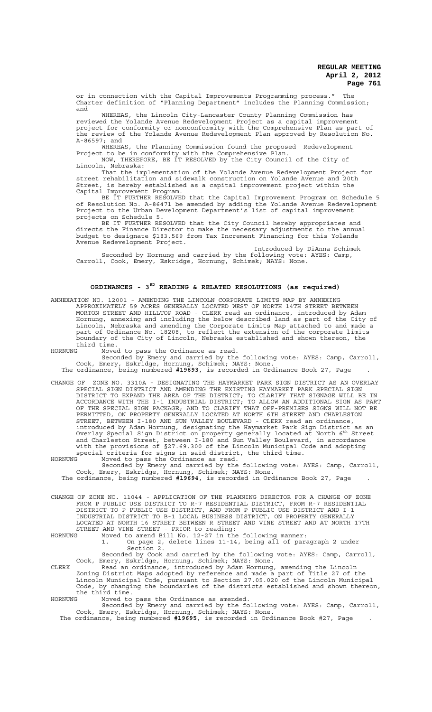or in connection with the Capital Improvements Programming process." The Charter definition of "Planning Department" includes the Planning Commission; and

WHEREAS, the Lincoln City-Lancaster County Planning Commission has reviewed the Yolande Avenue Redevelopment Project as a capital improvement project for conformity or nonconformity with the Comprehensive Plan as part of the review of the Yolande Avenue Redevelopment Plan approved by Resolution No. A-86597; and

WHEREAS, the Planning Commission found the proposed Redevelopment Project to be in conformity with the Comprehensive Plan. NOW, THEREFORE, BE IT RESOLVED by the City Council of the City of

Lincoln, Nebraska: That the implementation of the Yolande Avenue Redevelopment Project for street rehabilitation and sidewalk construction on Yolande Avenue and 20th Street, is hereby established as a capital improvement project within the

Capital Improvement Program. BE IT FURTHER RESOLVED that the Capital Improvement Program on Schedule 5 of Resolution No. A-86471 be amended by adding the Yolande Avenue Redevelopment Project to the Urban Development Department's list of capital improvement projects on Schedule 5.

BE IT FURTHER RESOLVED that the City Council hereby appropriates and directs the Finance Director to make the necessary adjustments to the annual budget to designate \$183,569 from Tax Increment Financing for this Yolande Avenue Redevelopment Project.

Introduced by DiAnna Schimek Seconded by Hornung and carried by the following vote: AYES: Camp, Carroll, Cook, Emery, Eskridge, Hornung, Schimek; NAYS: None.

## **ORDINANCES - 3RD READING & RELATED RESOLUTIONS (as required)**

ANNEXATION NO. 12001 - AMENDING THE LINCOLN CORPORATE LIMITS MAP BY ANNEXING APPROXIMATELY 59 ACRES GENERALLY LOCATED WEST OF NORTH 14TH STREET BETWEEN MORTON STREET AND HILLTOP ROAD - CLERK read an ordinance, introduced by Adam Hornung, annexing and including the below described land as part of the City of Lincoln, Nebraska and amending the Corporate Limits Map attached to and made a part of Ordinance No. 18208, to reflect the extension of the corporate limits boundary of the City of Lincoln, Nebraska established and shown thereon, the third time.

HORNUNG Moved to pass the Ordinance as read.

Seconded by Emery and carried by the following vote: AYES: Camp, Carroll, Cook, Emery, Eskridge, Hornung, Schimek; NAYS: None. The ordinance, being numbered **#19693**, is recorded in Ordinance Book 27, Page .

CHANGE OF ZONE NO. 3310A - DESIGNATING THE HAYMARKET PARK SIGN DISTRICT AS AN OVERLAY SPECIAL SIGN DISTRICT AND AMENDING THE EXISTING HAYMARKET PARK SPECIAL SIGN DISTRICT TO EXPAND THE AREA OF THE DISTRICT; TO CLARIFY THAT SIGNAGE WILL BE IN ACCORDANCE WITH THE I-1 INDUSTRIAL DISTRICT; TO ALLOW AN ADDITIONAL SIGN AS PART OF THE SPECIAL SIGN PACKAGE; AND TO CLARIFY THAT OFF-PREMISES SIGNS WILL NOT BE PERMITTED, ON PROPERTY GENERALLY LOCATED AT NORTH 6TH STREET AND CHARLESTON STREET, BETWEEN I-180 AND SUN VALLEY BOULEVARD - CLERK read an ordinance, introduced by Adam Hornung, designating the Haymarket Park Sign District as an Overlay Special Sign District on property generally located at North 6th Street and Charleston Street, between I-180 and Sun Valley Boulevard, in accordance with the provisions of §27.69.300 of the Lincoln Municipal Code and adopting

special criteria for signs in said district, the third time. HORNUNG Moved to pass the Ordinance as read.

Seconded by Emery and carried by the following vote: AYES: Camp, Carroll, Cook, Emery, Eskridge, Hornung, Schimek; NAYS: None.

The ordinance, being numbered **#19694**, is recorded in Ordinance Book 27, Page .

CHANGE OF ZONE NO. 11044 - APPLICATION OF THE PLANNING DIRECTOR FOR A CHANGE OF ZONE FROM P PUBLIC USE DISTRICT TO R-7 RESIDENTIAL DISTRICT, FROM R-7 RESIDENTIAL DISTRICT TO P PUBLIC USE DISTRICT, AND FROM P PUBLIC USE DISTRICT AND I-1 INDUSTRIAL DISTRICT TO B-1 LOCAL BUSINESS DISTRICT, ON PROPERTY GENERALLY LOCATED AT NORTH 16 STREET BETWEEN R STREET AND VINE STREET AND AT NORTH 17TH STREET AND VINE STREET - PRIOR to reading:

HORNUNG Moved to amend Bill No. 12-27 in the following manner: 1. On page 2, delete lines 11-14, being all of paragraph 2 under Section 2.

Seconded by Cook and carried by the following vote: AYES: Camp, Carroll, Cook, Emery, Eskridge, Hornung, Schimek; NAYS: None.

CLERK Read an ordinance, introduced by Adam Hornung, amending the Lincoln Zoning District Maps adopted by reference and made a part of Title 27 of the Lincoln Municipal Code, pursuant to Section 27.05.020 of the Lincoln Municipal Code, by changing the boundaries of the districts established and shown thereon, the third time.

HORNUNG Moved to pass the Ordinance as amended.

Seconded by Emery and carried by the following vote: AYES: Camp, Carroll, Cook, Emery, Eskridge, Hornung, Schimek; NAYS: None. The ordinance, being numbered **#19695**, is recorded in Ordinance Book #27, Page .